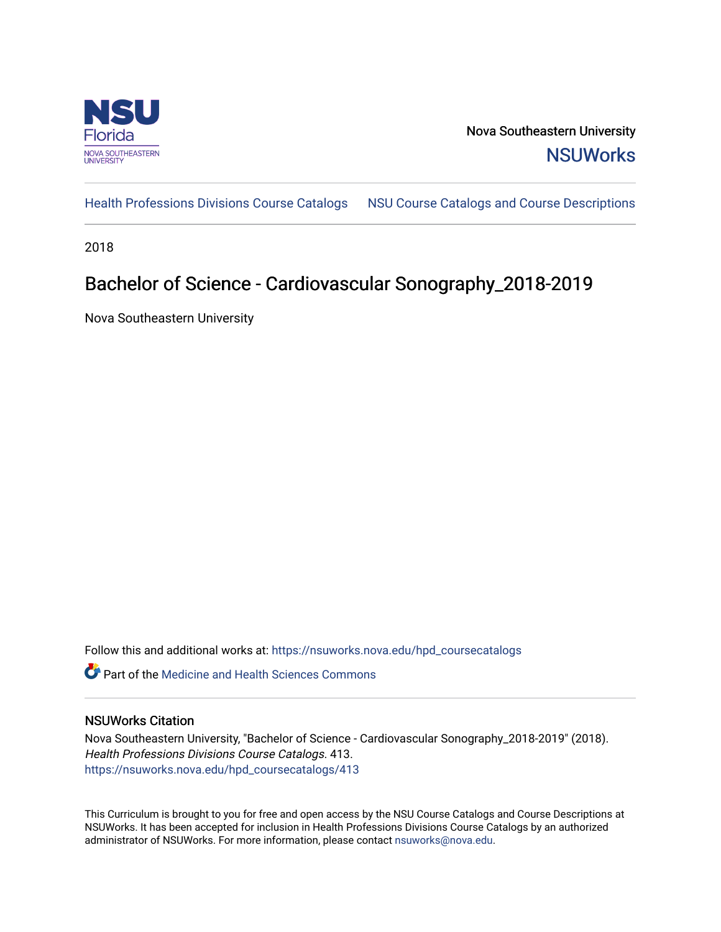

Nova Southeastern University **NSUWorks** 

[Health Professions Divisions Course Catalogs](https://nsuworks.nova.edu/hpd_coursecatalogs) [NSU Course Catalogs and Course Descriptions](https://nsuworks.nova.edu/nsu_catalogs) 

2018

## Bachelor of Science - Cardiovascular Sonography\_2018-2019

Nova Southeastern University

Follow this and additional works at: [https://nsuworks.nova.edu/hpd\\_coursecatalogs](https://nsuworks.nova.edu/hpd_coursecatalogs?utm_source=nsuworks.nova.edu%2Fhpd_coursecatalogs%2F413&utm_medium=PDF&utm_campaign=PDFCoverPages)

**C** Part of the Medicine and Health Sciences Commons

## NSUWorks Citation

Nova Southeastern University, "Bachelor of Science - Cardiovascular Sonography\_2018-2019" (2018). Health Professions Divisions Course Catalogs. 413. [https://nsuworks.nova.edu/hpd\\_coursecatalogs/413](https://nsuworks.nova.edu/hpd_coursecatalogs/413?utm_source=nsuworks.nova.edu%2Fhpd_coursecatalogs%2F413&utm_medium=PDF&utm_campaign=PDFCoverPages)

This Curriculum is brought to you for free and open access by the NSU Course Catalogs and Course Descriptions at NSUWorks. It has been accepted for inclusion in Health Professions Divisions Course Catalogs by an authorized administrator of NSUWorks. For more information, please contact [nsuworks@nova.edu.](mailto:nsuworks@nova.edu)